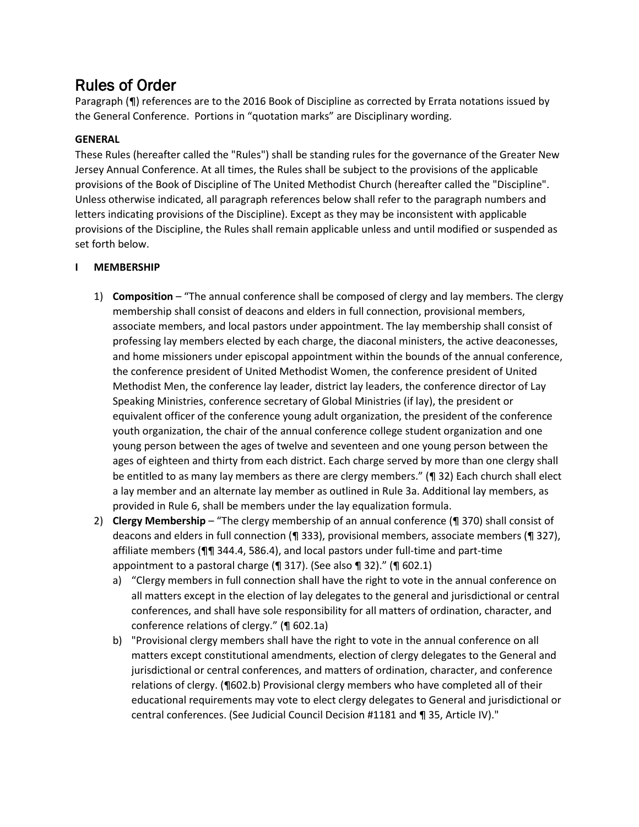# Rules of Order

Paragraph (¶) references are to the 2016 Book of Discipline as corrected by Errata notations issued by the General Conference. Portions in "quotation marks" are Disciplinary wording.

# **GENERAL**

These Rules (hereafter called the "Rules") shall be standing rules for the governance of the Greater New Jersey Annual Conference. At all times, the Rules shall be subject to the provisions of the applicable provisions of the Book of Discipline of The United Methodist Church (hereafter called the "Discipline". Unless otherwise indicated, all paragraph references below shall refer to the paragraph numbers and letters indicating provisions of the Discipline). Except as they may be inconsistent with applicable provisions of the Discipline, the Rules shall remain applicable unless and until modified or suspended as set forth below.

# **I MEMBERSHIP**

- 1) **Composition** "The annual conference shall be composed of clergy and lay members. The clergy membership shall consist of deacons and elders in full connection, provisional members, associate members, and local pastors under appointment. The lay membership shall consist of professing lay members elected by each charge, the diaconal ministers, the active deaconesses, and home missioners under episcopal appointment within the bounds of the annual conference, the conference president of United Methodist Women, the conference president of United Methodist Men, the conference lay leader, district lay leaders, the conference director of Lay Speaking Ministries, conference secretary of Global Ministries (if lay), the president or equivalent officer of the conference young adult organization, the president of the conference youth organization, the chair of the annual conference college student organization and one young person between the ages of twelve and seventeen and one young person between the ages of eighteen and thirty from each district. Each charge served by more than one clergy shall be entitled to as many lay members as there are clergy members." (¶ 32) Each church shall elect a lay member and an alternate lay member as outlined in Rule 3a. Additional lay members, as provided in Rule 6, shall be members under the lay equalization formula.
- 2) **Clergy Membership** "The clergy membership of an annual conference (¶ 370) shall consist of deacons and elders in full connection (¶ 333), provisional members, associate members (¶ 327), affiliate members (¶¶ 344.4, 586.4), and local pastors under full-time and part-time appointment to a pastoral charge (¶ 317). (See also ¶ 32)." (¶ 602.1)
	- a) "Clergy members in full connection shall have the right to vote in the annual conference on all matters except in the election of lay delegates to the general and jurisdictional or central conferences, and shall have sole responsibility for all matters of ordination, character, and conference relations of clergy." (¶ 602.1a)
	- b) "Provisional clergy members shall have the right to vote in the annual conference on all matters except constitutional amendments, election of clergy delegates to the General and jurisdictional or central conferences, and matters of ordination, character, and conference relations of clergy. (¶602.b) Provisional clergy members who have completed all of their educational requirements may vote to elect clergy delegates to General and jurisdictional or central conferences. (See Judicial Council Decision #1181 and ¶ 35, Article IV)."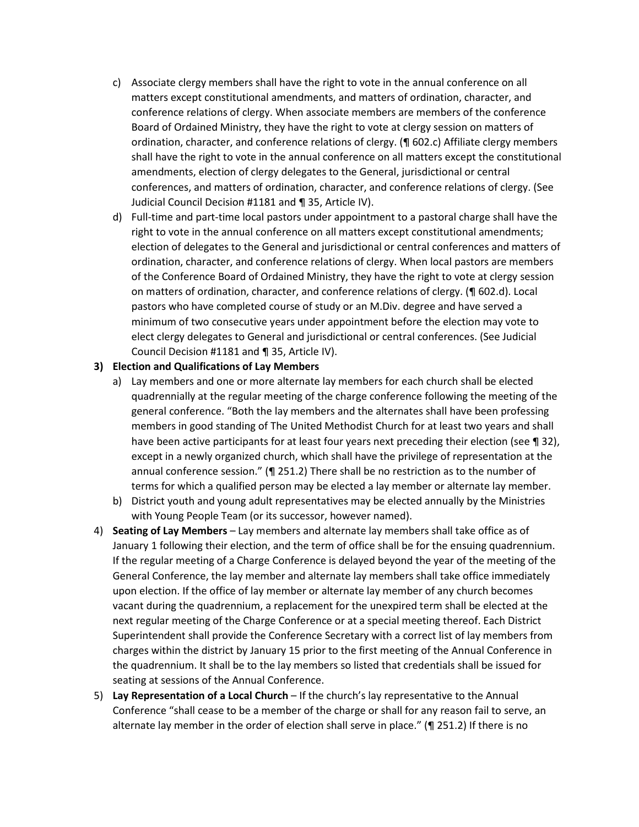- c) Associate clergy members shall have the right to vote in the annual conference on all matters except constitutional amendments, and matters of ordination, character, and conference relations of clergy. When associate members are members of the conference Board of Ordained Ministry, they have the right to vote at clergy session on matters of ordination, character, and conference relations of clergy. (¶ 602.c) Affiliate clergy members shall have the right to vote in the annual conference on all matters except the constitutional amendments, election of clergy delegates to the General, jurisdictional or central conferences, and matters of ordination, character, and conference relations of clergy. (See Judicial Council Decision #1181 and ¶ 35, Article IV).
- d) Full-time and part-time local pastors under appointment to a pastoral charge shall have the right to vote in the annual conference on all matters except constitutional amendments; election of delegates to the General and jurisdictional or central conferences and matters of ordination, character, and conference relations of clergy. When local pastors are members of the Conference Board of Ordained Ministry, they have the right to vote at clergy session on matters of ordination, character, and conference relations of clergy. (¶ 602.d). Local pastors who have completed course of study or an M.Div. degree and have served a minimum of two consecutive years under appointment before the election may vote to elect clergy delegates to General and jurisdictional or central conferences. (See Judicial Council Decision #1181 and ¶ 35, Article IV).

### **3) Election and Qualifications of Lay Members**

- a) Lay members and one or more alternate lay members for each church shall be elected quadrennially at the regular meeting of the charge conference following the meeting of the general conference. "Both the lay members and the alternates shall have been professing members in good standing of The United Methodist Church for at least two years and shall have been active participants for at least four years next preceding their election (see ¶ 32), except in a newly organized church, which shall have the privilege of representation at the annual conference session." (¶ 251.2) There shall be no restriction as to the number of terms for which a qualified person may be elected a lay member or alternate lay member.
- b) District youth and young adult representatives may be elected annually by the Ministries with Young People Team (or its successor, however named).
- 4) **Seating of Lay Members** Lay members and alternate lay members shall take office as of January 1 following their election, and the term of office shall be for the ensuing quadrennium. If the regular meeting of a Charge Conference is delayed beyond the year of the meeting of the General Conference, the lay member and alternate lay members shall take office immediately upon election. If the office of lay member or alternate lay member of any church becomes vacant during the quadrennium, a replacement for the unexpired term shall be elected at the next regular meeting of the Charge Conference or at a special meeting thereof. Each District Superintendent shall provide the Conference Secretary with a correct list of lay members from charges within the district by January 15 prior to the first meeting of the Annual Conference in the quadrennium. It shall be to the lay members so listed that credentials shall be issued for seating at sessions of the Annual Conference.
- 5) **Lay Representation of a Local Church** If the church's lay representative to the Annual Conference "shall cease to be a member of the charge or shall for any reason fail to serve, an alternate lay member in the order of election shall serve in place." (¶ 251.2) If there is no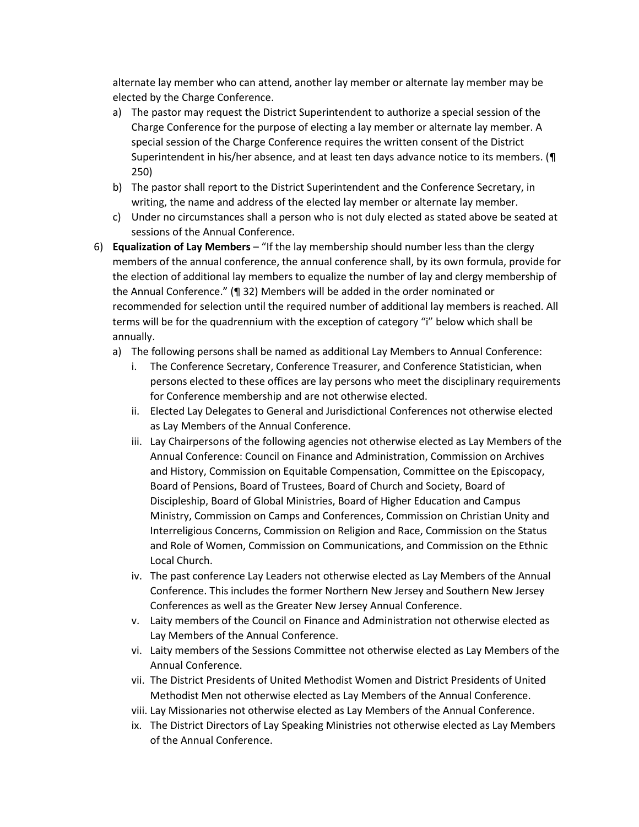alternate lay member who can attend, another lay member or alternate lay member may be elected by the Charge Conference.

- a) The pastor may request the District Superintendent to authorize a special session of the Charge Conference for the purpose of electing a lay member or alternate lay member. A special session of the Charge Conference requires the written consent of the District Superintendent in his/her absence, and at least ten days advance notice to its members. (¶ 250)
- b) The pastor shall report to the District Superintendent and the Conference Secretary, in writing, the name and address of the elected lay member or alternate lay member.
- c) Under no circumstances shall a person who is not duly elected as stated above be seated at sessions of the Annual Conference.
- 6) **Equalization of Lay Members** "If the lay membership should number less than the clergy members of the annual conference, the annual conference shall, by its own formula, provide for the election of additional lay members to equalize the number of lay and clergy membership of the Annual Conference." (¶ 32) Members will be added in the order nominated or recommended for selection until the required number of additional lay members is reached. All terms will be for the quadrennium with the exception of category "i" below which shall be annually.
	- a) The following persons shall be named as additional Lay Members to Annual Conference:
		- i. The Conference Secretary, Conference Treasurer, and Conference Statistician, when persons elected to these offices are lay persons who meet the disciplinary requirements for Conference membership and are not otherwise elected.
		- ii. Elected Lay Delegates to General and Jurisdictional Conferences not otherwise elected as Lay Members of the Annual Conference.
		- iii. Lay Chairpersons of the following agencies not otherwise elected as Lay Members of the Annual Conference: Council on Finance and Administration, Commission on Archives and History, Commission on Equitable Compensation, Committee on the Episcopacy, Board of Pensions, Board of Trustees, Board of Church and Society, Board of Discipleship, Board of Global Ministries, Board of Higher Education and Campus Ministry, Commission on Camps and Conferences, Commission on Christian Unity and Interreligious Concerns, Commission on Religion and Race, Commission on the Status and Role of Women, Commission on Communications, and Commission on the Ethnic Local Church.
		- iv. The past conference Lay Leaders not otherwise elected as Lay Members of the Annual Conference. This includes the former Northern New Jersey and Southern New Jersey Conferences as well as the Greater New Jersey Annual Conference.
		- v. Laity members of the Council on Finance and Administration not otherwise elected as Lay Members of the Annual Conference.
		- vi. Laity members of the Sessions Committee not otherwise elected as Lay Members of the Annual Conference.
		- vii. The District Presidents of United Methodist Women and District Presidents of United Methodist Men not otherwise elected as Lay Members of the Annual Conference.
		- viii. Lay Missionaries not otherwise elected as Lay Members of the Annual Conference.
		- ix. The District Directors of Lay Speaking Ministries not otherwise elected as Lay Members of the Annual Conference.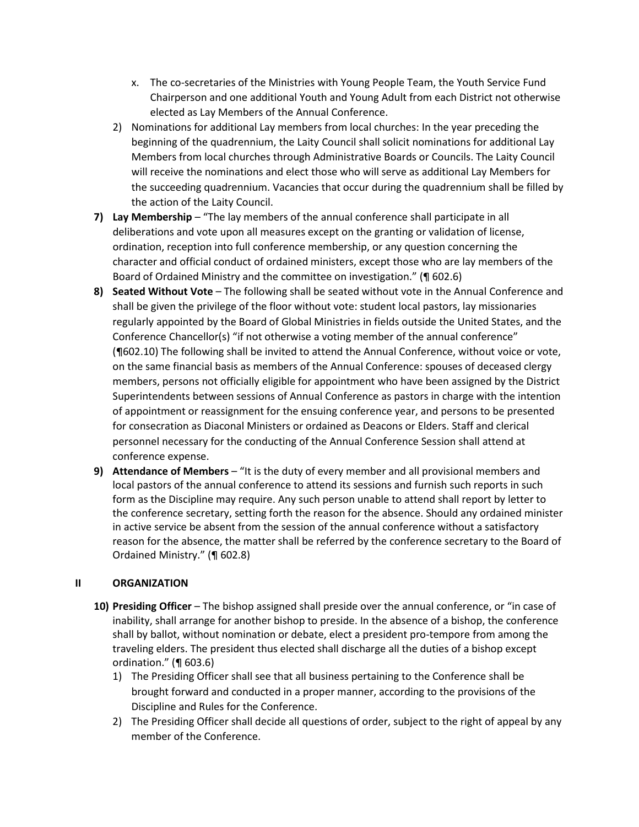- x. The co-secretaries of the Ministries with Young People Team, the Youth Service Fund Chairperson and one additional Youth and Young Adult from each District not otherwise elected as Lay Members of the Annual Conference.
- 2) Nominations for additional Lay members from local churches: In the year preceding the beginning of the quadrennium, the Laity Council shall solicit nominations for additional Lay Members from local churches through Administrative Boards or Councils. The Laity Council will receive the nominations and elect those who will serve as additional Lay Members for the succeeding quadrennium. Vacancies that occur during the quadrennium shall be filled by the action of the Laity Council.
- **7) Lay Membership** "The lay members of the annual conference shall participate in all deliberations and vote upon all measures except on the granting or validation of license, ordination, reception into full conference membership, or any question concerning the character and official conduct of ordained ministers, except those who are lay members of the Board of Ordained Ministry and the committee on investigation." (¶ 602.6)
- **8) Seated Without Vote** The following shall be seated without vote in the Annual Conference and shall be given the privilege of the floor without vote: student local pastors, lay missionaries regularly appointed by the Board of Global Ministries in fields outside the United States, and the Conference Chancellor(s) "if not otherwise a voting member of the annual conference" (¶602.10) The following shall be invited to attend the Annual Conference, without voice or vote, on the same financial basis as members of the Annual Conference: spouses of deceased clergy members, persons not officially eligible for appointment who have been assigned by the District Superintendents between sessions of Annual Conference as pastors in charge with the intention of appointment or reassignment for the ensuing conference year, and persons to be presented for consecration as Diaconal Ministers or ordained as Deacons or Elders. Staff and clerical personnel necessary for the conducting of the Annual Conference Session shall attend at conference expense.
- **9) Attendance of Members** "It is the duty of every member and all provisional members and local pastors of the annual conference to attend its sessions and furnish such reports in such form as the Discipline may require. Any such person unable to attend shall report by letter to the conference secretary, setting forth the reason for the absence. Should any ordained minister in active service be absent from the session of the annual conference without a satisfactory reason for the absence, the matter shall be referred by the conference secretary to the Board of Ordained Ministry." (¶ 602.8)

# **II ORGANIZATION**

- **10) Presiding Officer** The bishop assigned shall preside over the annual conference, or "in case of inability, shall arrange for another bishop to preside. In the absence of a bishop, the conference shall by ballot, without nomination or debate, elect a president pro-tempore from among the traveling elders. The president thus elected shall discharge all the duties of a bishop except ordination." (¶ 603.6)
	- 1) The Presiding Officer shall see that all business pertaining to the Conference shall be brought forward and conducted in a proper manner, according to the provisions of the Discipline and Rules for the Conference.
	- 2) The Presiding Officer shall decide all questions of order, subject to the right of appeal by any member of the Conference.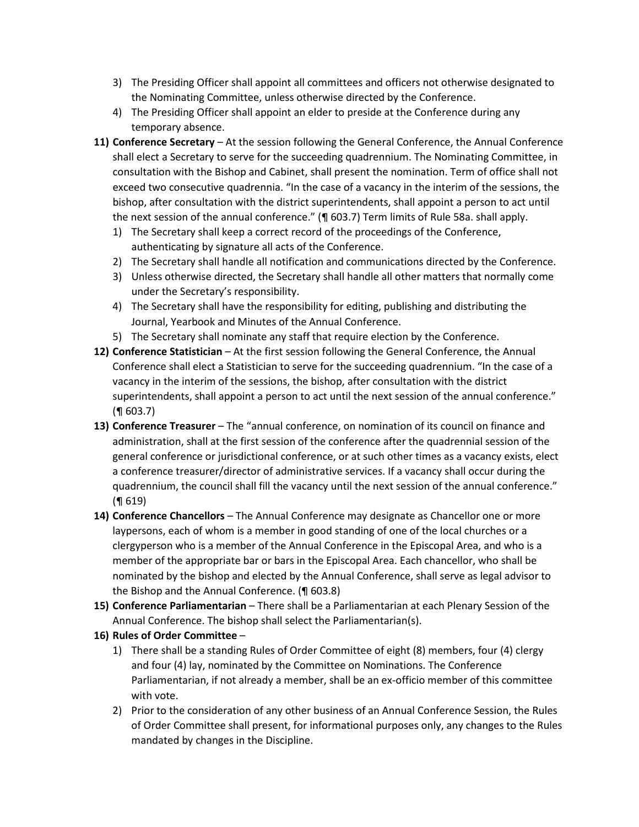- 3) The Presiding Officer shall appoint all committees and officers not otherwise designated to the Nominating Committee, unless otherwise directed by the Conference.
- 4) The Presiding Officer shall appoint an elder to preside at the Conference during any temporary absence.
- **11) Conference Secretary** At the session following the General Conference, the Annual Conference shall elect a Secretary to serve for the succeeding quadrennium. The Nominating Committee, in consultation with the Bishop and Cabinet, shall present the nomination. Term of office shall not exceed two consecutive quadrennia. "In the case of a vacancy in the interim of the sessions, the bishop, after consultation with the district superintendents, shall appoint a person to act until the next session of the annual conference." (¶ 603.7) Term limits of Rule 58a. shall apply.
	- 1) The Secretary shall keep a correct record of the proceedings of the Conference, authenticating by signature all acts of the Conference.
	- 2) The Secretary shall handle all notification and communications directed by the Conference.
	- 3) Unless otherwise directed, the Secretary shall handle all other matters that normally come under the Secretary's responsibility.
	- 4) The Secretary shall have the responsibility for editing, publishing and distributing the Journal, Yearbook and Minutes of the Annual Conference.
	- 5) The Secretary shall nominate any staff that require election by the Conference.
- **12) Conference Statistician** At the first session following the General Conference, the Annual Conference shall elect a Statistician to serve for the succeeding quadrennium. "In the case of a vacancy in the interim of the sessions, the bishop, after consultation with the district superintendents, shall appoint a person to act until the next session of the annual conference." (¶ 603.7)
- **13) Conference Treasurer** The "annual conference, on nomination of its council on finance and administration, shall at the first session of the conference after the quadrennial session of the general conference or jurisdictional conference, or at such other times as a vacancy exists, elect a conference treasurer/director of administrative services. If a vacancy shall occur during the quadrennium, the council shall fill the vacancy until the next session of the annual conference." (¶ 619)
- **14) Conference Chancellors** The Annual Conference may designate as Chancellor one or more laypersons, each of whom is a member in good standing of one of the local churches or a clergyperson who is a member of the Annual Conference in the Episcopal Area, and who is a member of the appropriate bar or bars in the Episcopal Area. Each chancellor, who shall be nominated by the bishop and elected by the Annual Conference, shall serve as legal advisor to the Bishop and the Annual Conference. (¶ 603.8)
- **15) Conference Parliamentarian** There shall be a Parliamentarian at each Plenary Session of the Annual Conference. The bishop shall select the Parliamentarian(s).

# **16) Rules of Order Committee** –

- 1) There shall be a standing Rules of Order Committee of eight (8) members, four (4) clergy and four (4) lay, nominated by the Committee on Nominations. The Conference Parliamentarian, if not already a member, shall be an ex-officio member of this committee with vote.
- 2) Prior to the consideration of any other business of an Annual Conference Session, the Rules of Order Committee shall present, for informational purposes only, any changes to the Rules mandated by changes in the Discipline.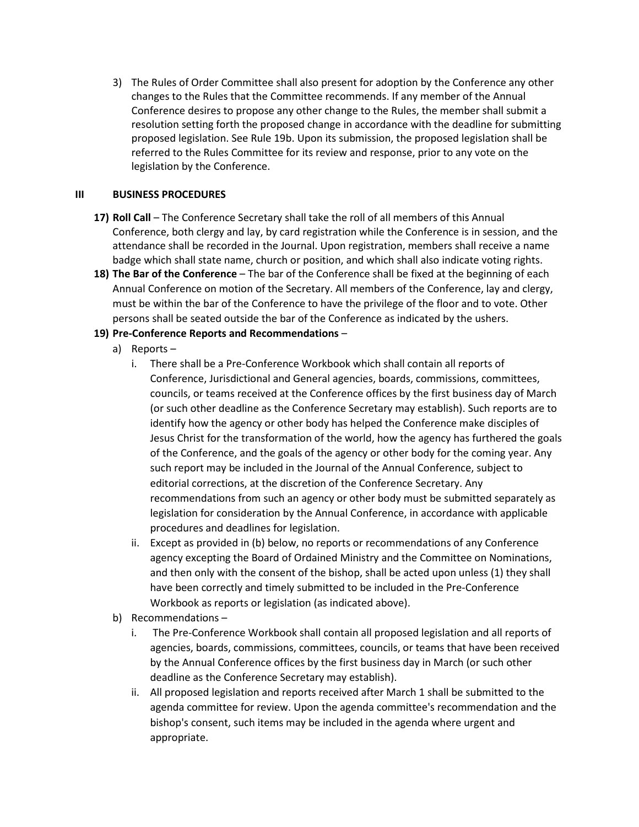3) The Rules of Order Committee shall also present for adoption by the Conference any other changes to the Rules that the Committee recommends. If any member of the Annual Conference desires to propose any other change to the Rules, the member shall submit a resolution setting forth the proposed change in accordance with the deadline for submitting proposed legislation. See Rule 19b. Upon its submission, the proposed legislation shall be referred to the Rules Committee for its review and response, prior to any vote on the legislation by the Conference.

### **III BUSINESS PROCEDURES**

- **17) Roll Call** The Conference Secretary shall take the roll of all members of this Annual Conference, both clergy and lay, by card registration while the Conference is in session, and the attendance shall be recorded in the Journal. Upon registration, members shall receive a name badge which shall state name, church or position, and which shall also indicate voting rights.
- **18) The Bar of the Conference** The bar of the Conference shall be fixed at the beginning of each Annual Conference on motion of the Secretary. All members of the Conference, lay and clergy, must be within the bar of the Conference to have the privilege of the floor and to vote. Other persons shall be seated outside the bar of the Conference as indicated by the ushers.

# **19) Pre-Conference Reports and Recommendations** –

- a) Reports
	- i. There shall be a Pre-Conference Workbook which shall contain all reports of Conference, Jurisdictional and General agencies, boards, commissions, committees, councils, or teams received at the Conference offices by the first business day of March (or such other deadline as the Conference Secretary may establish). Such reports are to identify how the agency or other body has helped the Conference make disciples of Jesus Christ for the transformation of the world, how the agency has furthered the goals of the Conference, and the goals of the agency or other body for the coming year. Any such report may be included in the Journal of the Annual Conference, subject to editorial corrections, at the discretion of the Conference Secretary. Any recommendations from such an agency or other body must be submitted separately as legislation for consideration by the Annual Conference, in accordance with applicable procedures and deadlines for legislation.
	- ii. Except as provided in (b) below, no reports or recommendations of any Conference agency excepting the Board of Ordained Ministry and the Committee on Nominations, and then only with the consent of the bishop, shall be acted upon unless (1) they shall have been correctly and timely submitted to be included in the Pre-Conference Workbook as reports or legislation (as indicated above).
- b) Recommendations
	- i. The Pre-Conference Workbook shall contain all proposed legislation and all reports of agencies, boards, commissions, committees, councils, or teams that have been received by the Annual Conference offices by the first business day in March (or such other deadline as the Conference Secretary may establish).
	- ii. All proposed legislation and reports received after March 1 shall be submitted to the agenda committee for review. Upon the agenda committee's recommendation and the bishop's consent, such items may be included in the agenda where urgent and appropriate.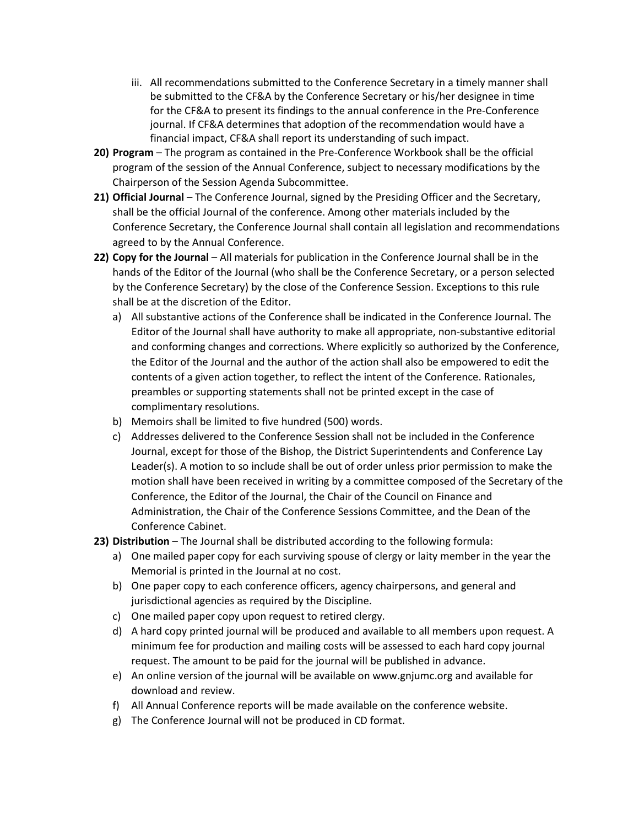- iii. All recommendations submitted to the Conference Secretary in a timely manner shall be submitted to the CF&A by the Conference Secretary or his/her designee in time for the CF&A to present its findings to the annual conference in the Pre-Conference journal. If CF&A determines that adoption of the recommendation would have a financial impact, CF&A shall report its understanding of such impact.
- **20) Program** The program as contained in the Pre-Conference Workbook shall be the official program of the session of the Annual Conference, subject to necessary modifications by the Chairperson of the Session Agenda Subcommittee.
- **21) Official Journal** The Conference Journal, signed by the Presiding Officer and the Secretary, shall be the official Journal of the conference. Among other materials included by the Conference Secretary, the Conference Journal shall contain all legislation and recommendations agreed to by the Annual Conference.
- **22) Copy for the Journal** All materials for publication in the Conference Journal shall be in the hands of the Editor of the Journal (who shall be the Conference Secretary, or a person selected by the Conference Secretary) by the close of the Conference Session. Exceptions to this rule shall be at the discretion of the Editor.
	- a) All substantive actions of the Conference shall be indicated in the Conference Journal. The Editor of the Journal shall have authority to make all appropriate, non-substantive editorial and conforming changes and corrections. Where explicitly so authorized by the Conference, the Editor of the Journal and the author of the action shall also be empowered to edit the contents of a given action together, to reflect the intent of the Conference. Rationales, preambles or supporting statements shall not be printed except in the case of complimentary resolutions.
	- b) Memoirs shall be limited to five hundred (500) words.
	- c) Addresses delivered to the Conference Session shall not be included in the Conference Journal, except for those of the Bishop, the District Superintendents and Conference Lay Leader(s). A motion to so include shall be out of order unless prior permission to make the motion shall have been received in writing by a committee composed of the Secretary of the Conference, the Editor of the Journal, the Chair of the Council on Finance and Administration, the Chair of the Conference Sessions Committee, and the Dean of the Conference Cabinet.
- **23) Distribution** The Journal shall be distributed according to the following formula:
	- a) One mailed paper copy for each surviving spouse of clergy or laity member in the year the Memorial is printed in the Journal at no cost.
	- b) One paper copy to each conference officers, agency chairpersons, and general and jurisdictional agencies as required by the Discipline.
	- c) One mailed paper copy upon request to retired clergy.
	- d) A hard copy printed journal will be produced and available to all members upon request. A minimum fee for production and mailing costs will be assessed to each hard copy journal request. The amount to be paid for the journal will be published in advance.
	- e) An online version of the journal will be available on www.gnjumc.org and available for download and review.
	- f) All Annual Conference reports will be made available on the conference website.
	- g) The Conference Journal will not be produced in CD format.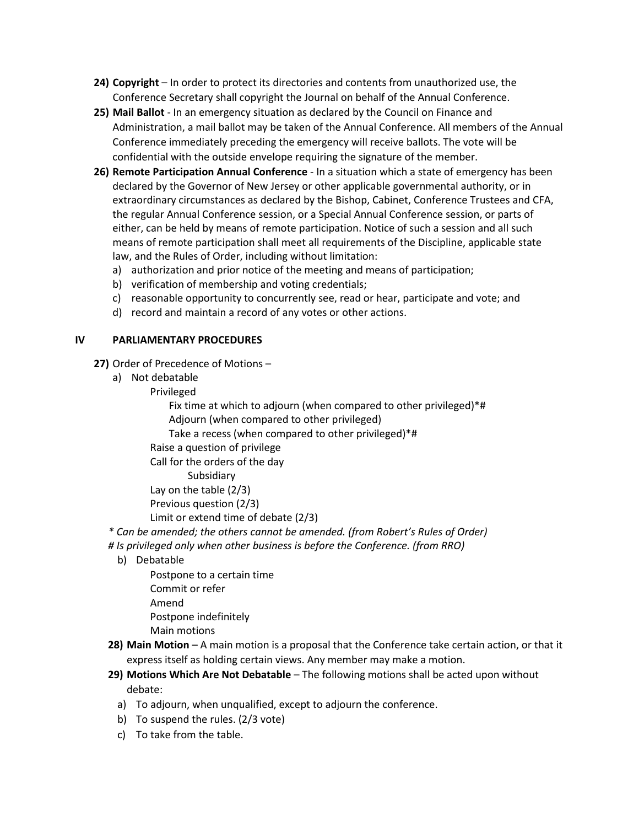- **24) Copyright** In order to protect its directories and contents from unauthorized use, the Conference Secretary shall copyright the Journal on behalf of the Annual Conference.
- **25) Mail Ballot** In an emergency situation as declared by the Council on Finance and Administration, a mail ballot may be taken of the Annual Conference. All members of the Annual Conference immediately preceding the emergency will receive ballots. The vote will be confidential with the outside envelope requiring the signature of the member.
- **26) Remote Participation Annual Conference**  In a situation which a state of emergency has been declared by the Governor of New Jersey or other applicable governmental authority, or in extraordinary circumstances as declared by the Bishop, Cabinet, Conference Trustees and CFA, the regular Annual Conference session, or a Special Annual Conference session, or parts of either, can be held by means of remote participation. Notice of such a session and all such means of remote participation shall meet all requirements of the Discipline, applicable state law, and the Rules of Order, including without limitation:
	- a) authorization and prior notice of the meeting and means of participation;
	- b) verification of membership and voting credentials;
	- c) reasonable opportunity to concurrently see, read or hear, participate and vote; and
	- d) record and maintain a record of any votes or other actions.

### **IV PARLIAMENTARY PROCEDURES**

- **27)** Order of Precedence of Motions
	- a) Not debatable
		- Privileged

Fix time at which to adjourn (when compared to other privileged)\*# Adjourn (when compared to other privileged)

Take a recess (when compared to other privileged)\*#

Raise a question of privilege

Call for the orders of the day

Subsidiary

Lay on the table (2/3)

Previous question (2/3)

- Limit or extend time of debate (2/3)
- *\* Can be amended; the others cannot be amended. (from Robert's Rules of Order)*
- *# Is privileged only when other business is before the Conference. (from RRO)*
	- b) Debatable

Postpone to a certain time Commit or refer Amend Postpone indefinitely Main motions

- **28) Main Motion** A main motion is a proposal that the Conference take certain action, or that it express itself as holding certain views. Any member may make a motion.
- **29) Motions Which Are Not Debatable** The following motions shall be acted upon without debate:
	- a) To adjourn, when unqualified, except to adjourn the conference.
	- b) To suspend the rules. (2/3 vote)
	- c) To take from the table.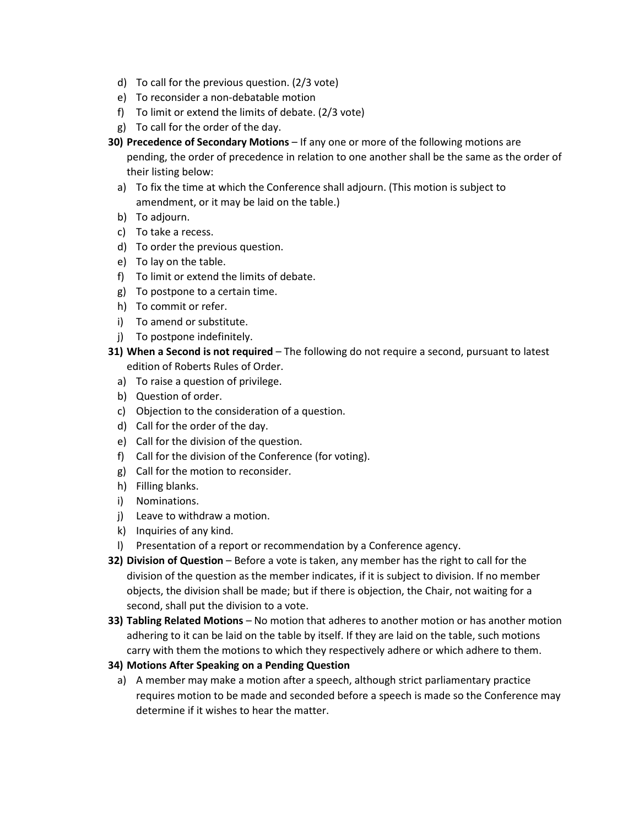- d) To call for the previous question. (2/3 vote)
- e) To reconsider a non-debatable motion
- f) To limit or extend the limits of debate. (2/3 vote)
- g) To call for the order of the day.
- **30) Precedence of Secondary Motions** If any one or more of the following motions are pending, the order of precedence in relation to one another shall be the same as the order of their listing below:
	- a) To fix the time at which the Conference shall adjourn. (This motion is subject to amendment, or it may be laid on the table.)
	- b) To adjourn.
	- c) To take a recess.
	- d) To order the previous question.
	- e) To lay on the table.
	- f) To limit or extend the limits of debate.
	- g) To postpone to a certain time.
	- h) To commit or refer.
	- i) To amend or substitute.
	- j) To postpone indefinitely.
- **31) When a Second is not required** The following do not require a second, pursuant to latest edition of Roberts Rules of Order.
	- a) To raise a question of privilege.
	- b) Question of order.
	- c) Objection to the consideration of a question.
	- d) Call for the order of the day.
	- e) Call for the division of the question.
	- f) Call for the division of the Conference (for voting).
	- g) Call for the motion to reconsider.
	- h) Filling blanks.
	- i) Nominations.
	- j) Leave to withdraw a motion.
	- k) Inquiries of any kind.
	- l) Presentation of a report or recommendation by a Conference agency.
- **32) Division of Question** Before a vote is taken, any member has the right to call for the division of the question as the member indicates, if it is subject to division. If no member objects, the division shall be made; but if there is objection, the Chair, not waiting for a second, shall put the division to a vote.
- **33) Tabling Related Motions** No motion that adheres to another motion or has another motion adhering to it can be laid on the table by itself. If they are laid on the table, such motions carry with them the motions to which they respectively adhere or which adhere to them.
- **34) Motions After Speaking on a Pending Question** 
	- a) A member may make a motion after a speech, although strict parliamentary practice requires motion to be made and seconded before a speech is made so the Conference may determine if it wishes to hear the matter.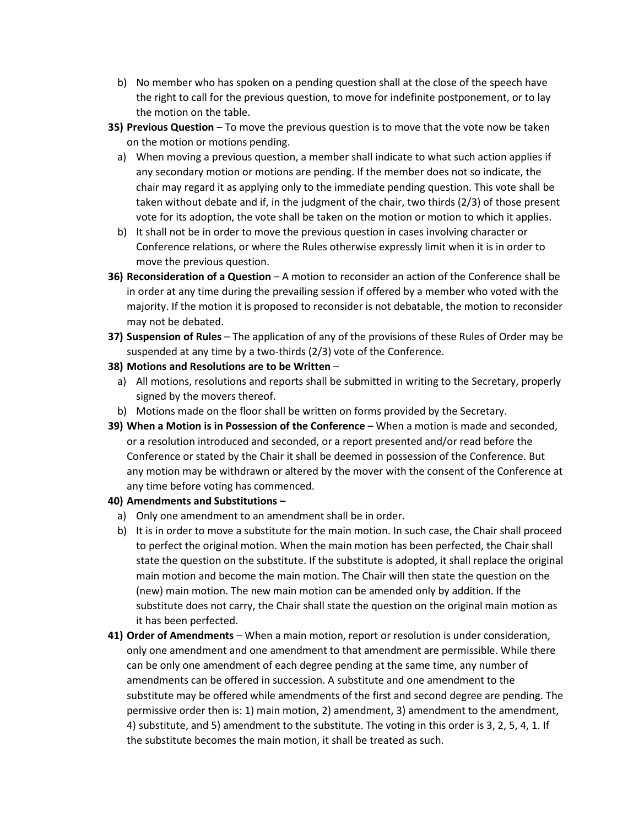- b) No member who has spoken on a pending question shall at the close of the speech have the right to call for the previous question, to move for indefinite postponement, or to lay the motion on the table.
- **35) Previous Question** To move the previous question is to move that the vote now be taken on the motion or motions pending.
	- a) When moving a previous question, a member shall indicate to what such action applies if any secondary motion or motions are pending. If the member does not so indicate, the chair may regard it as applying only to the immediate pending question. This vote shall be taken without debate and if, in the judgment of the chair, two thirds (2/3) of those present vote for its adoption, the vote shall be taken on the motion or motion to which it applies.
	- b) It shall not be in order to move the previous question in cases involving character or Conference relations, or where the Rules otherwise expressly limit when it is in order to move the previous question.
- **36) Reconsideration of a Question** A motion to reconsider an action of the Conference shall be in order at any time during the prevailing session if offered by a member who voted with the majority. If the motion it is proposed to reconsider is not debatable, the motion to reconsider may not be debated.
- **37) Suspension of Rules** The application of any of the provisions of these Rules of Order may be suspended at any time by a two-thirds (2/3) vote of the Conference.
- **38) Motions and Resolutions are to be Written**
	- a) All motions, resolutions and reports shall be submitted in writing to the Secretary, properly signed by the movers thereof.
- b) Motions made on the floor shall be written on forms provided by the Secretary.
- **39) When a Motion is in Possession of the Conference** When a motion is made and seconded, or a resolution introduced and seconded, or a report presented and/or read before the Conference or stated by the Chair it shall be deemed in possession of the Conference. But any motion may be withdrawn or altered by the mover with the consent of the Conference at any time before voting has commenced.

### **40) Amendments and Substitutions –**

- a) Only one amendment to an amendment shall be in order.
- b) It is in order to move a substitute for the main motion. In such case, the Chair shall proceed to perfect the original motion. When the main motion has been perfected, the Chair shall state the question on the substitute. If the substitute is adopted, it shall replace the original main motion and become the main motion. The Chair will then state the question on the (new) main motion. The new main motion can be amended only by addition. If the substitute does not carry, the Chair shall state the question on the original main motion as it has been perfected.
- **41) Order of Amendments** When a main motion, report or resolution is under consideration, only one amendment and one amendment to that amendment are permissible. While there can be only one amendment of each degree pending at the same time, any number of amendments can be offered in succession. A substitute and one amendment to the substitute may be offered while amendments of the first and second degree are pending. The permissive order then is: 1) main motion, 2) amendment, 3) amendment to the amendment, 4) substitute, and 5) amendment to the substitute. The voting in this order is 3, 2, 5, 4, 1. If the substitute becomes the main motion, it shall be treated as such.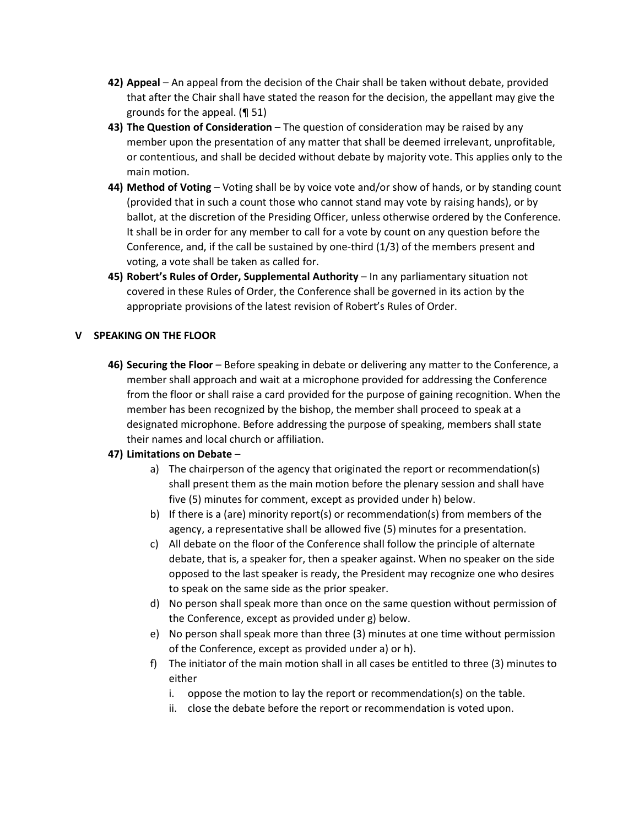- **42) Appeal**  An appeal from the decision of the Chair shall be taken without debate, provided that after the Chair shall have stated the reason for the decision, the appellant may give the grounds for the appeal. (¶ 51)
- **43) The Question of Consideration** The question of consideration may be raised by any member upon the presentation of any matter that shall be deemed irrelevant, unprofitable, or contentious, and shall be decided without debate by majority vote. This applies only to the main motion.
- **44) Method of Voting** Voting shall be by voice vote and/or show of hands, or by standing count (provided that in such a count those who cannot stand may vote by raising hands), or by ballot, at the discretion of the Presiding Officer, unless otherwise ordered by the Conference. It shall be in order for any member to call for a vote by count on any question before the Conference, and, if the call be sustained by one-third (1/3) of the members present and voting, a vote shall be taken as called for.
- **45) Robert's Rules of Order, Supplemental Authority** In any parliamentary situation not covered in these Rules of Order, the Conference shall be governed in its action by the appropriate provisions of the latest revision of Robert's Rules of Order.

### **V SPEAKING ON THE FLOOR**

**46) Securing the Floor** – Before speaking in debate or delivering any matter to the Conference, a member shall approach and wait at a microphone provided for addressing the Conference from the floor or shall raise a card provided for the purpose of gaining recognition. When the member has been recognized by the bishop, the member shall proceed to speak at a designated microphone. Before addressing the purpose of speaking, members shall state their names and local church or affiliation.

### **47) Limitations on Debate** –

- a) The chairperson of the agency that originated the report or recommendation(s) shall present them as the main motion before the plenary session and shall have five (5) minutes for comment, except as provided under h) below.
- b) If there is a (are) minority report(s) or recommendation(s) from members of the agency, a representative shall be allowed five (5) minutes for a presentation.
- c) All debate on the floor of the Conference shall follow the principle of alternate debate, that is, a speaker for, then a speaker against. When no speaker on the side opposed to the last speaker is ready, the President may recognize one who desires to speak on the same side as the prior speaker.
- d) No person shall speak more than once on the same question without permission of the Conference, except as provided under g) below.
- e) No person shall speak more than three (3) minutes at one time without permission of the Conference, except as provided under a) or h).
- f) The initiator of the main motion shall in all cases be entitled to three (3) minutes to either
	- i. oppose the motion to lay the report or recommendation(s) on the table.
	- ii. close the debate before the report or recommendation is voted upon.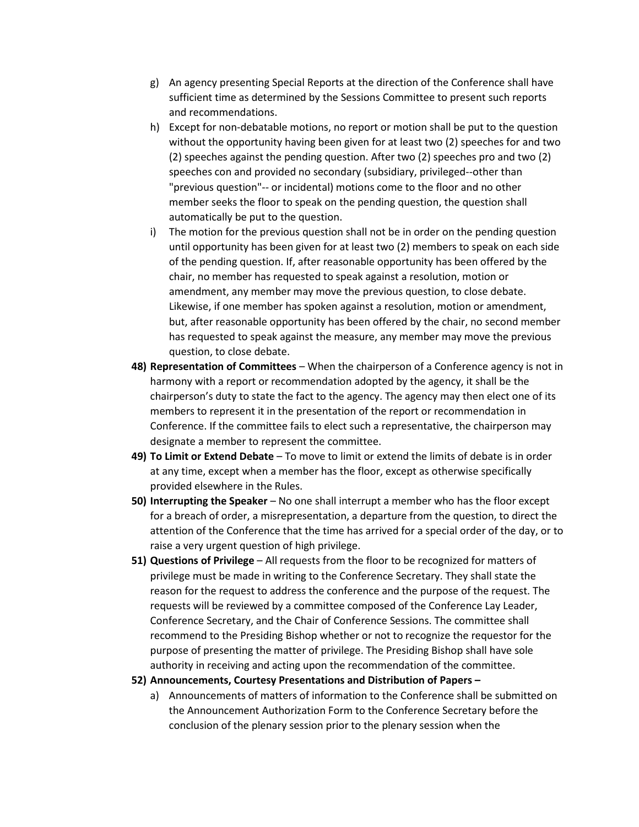- g) An agency presenting Special Reports at the direction of the Conference shall have sufficient time as determined by the Sessions Committee to present such reports and recommendations.
- h) Except for non-debatable motions, no report or motion shall be put to the question without the opportunity having been given for at least two (2) speeches for and two (2) speeches against the pending question. After two (2) speeches pro and two (2) speeches con and provided no secondary (subsidiary, privileged--other than "previous question"-- or incidental) motions come to the floor and no other member seeks the floor to speak on the pending question, the question shall automatically be put to the question.
- i) The motion for the previous question shall not be in order on the pending question until opportunity has been given for at least two (2) members to speak on each side of the pending question. If, after reasonable opportunity has been offered by the chair, no member has requested to speak against a resolution, motion or amendment, any member may move the previous question, to close debate. Likewise, if one member has spoken against a resolution, motion or amendment, but, after reasonable opportunity has been offered by the chair, no second member has requested to speak against the measure, any member may move the previous question, to close debate.
- **48) Representation of Committees** When the chairperson of a Conference agency is not in harmony with a report or recommendation adopted by the agency, it shall be the chairperson's duty to state the fact to the agency. The agency may then elect one of its members to represent it in the presentation of the report or recommendation in Conference. If the committee fails to elect such a representative, the chairperson may designate a member to represent the committee.
- **49) To Limit or Extend Debate** To move to limit or extend the limits of debate is in order at any time, except when a member has the floor, except as otherwise specifically provided elsewhere in the Rules.
- **50) Interrupting the Speaker** No one shall interrupt a member who has the floor except for a breach of order, a misrepresentation, a departure from the question, to direct the attention of the Conference that the time has arrived for a special order of the day, or to raise a very urgent question of high privilege.
- **51) Questions of Privilege** All requests from the floor to be recognized for matters of privilege must be made in writing to the Conference Secretary. They shall state the reason for the request to address the conference and the purpose of the request. The requests will be reviewed by a committee composed of the Conference Lay Leader, Conference Secretary, and the Chair of Conference Sessions. The committee shall recommend to the Presiding Bishop whether or not to recognize the requestor for the purpose of presenting the matter of privilege. The Presiding Bishop shall have sole authority in receiving and acting upon the recommendation of the committee.
- **52) Announcements, Courtesy Presentations and Distribution of Papers –**
	- a) Announcements of matters of information to the Conference shall be submitted on the Announcement Authorization Form to the Conference Secretary before the conclusion of the plenary session prior to the plenary session when the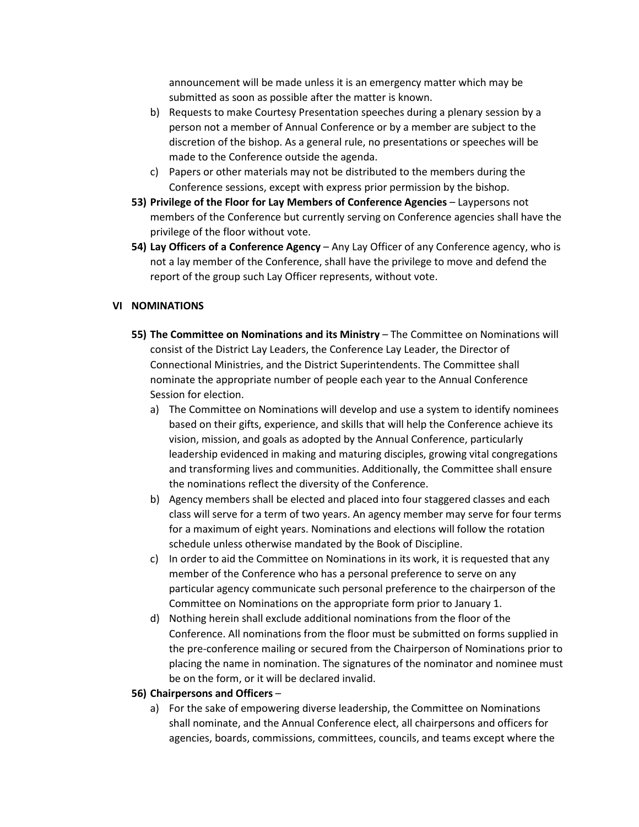announcement will be made unless it is an emergency matter which may be submitted as soon as possible after the matter is known.

- b) Requests to make Courtesy Presentation speeches during a plenary session by a person not a member of Annual Conference or by a member are subject to the discretion of the bishop. As a general rule, no presentations or speeches will be made to the Conference outside the agenda.
- c) Papers or other materials may not be distributed to the members during the Conference sessions, except with express prior permission by the bishop.
- **53) Privilege of the Floor for Lay Members of Conference Agencies** Laypersons not members of the Conference but currently serving on Conference agencies shall have the privilege of the floor without vote.
- **54) Lay Officers of a Conference Agency** Any Lay Officer of any Conference agency, who is not a lay member of the Conference, shall have the privilege to move and defend the report of the group such Lay Officer represents, without vote.

#### **VI NOMINATIONS**

- **55) The Committee on Nominations and its Ministry** The Committee on Nominations will consist of the District Lay Leaders, the Conference Lay Leader, the Director of Connectional Ministries, and the District Superintendents. The Committee shall nominate the appropriate number of people each year to the Annual Conference Session for election.
	- a) The Committee on Nominations will develop and use a system to identify nominees based on their gifts, experience, and skills that will help the Conference achieve its vision, mission, and goals as adopted by the Annual Conference, particularly leadership evidenced in making and maturing disciples, growing vital congregations and transforming lives and communities. Additionally, the Committee shall ensure the nominations reflect the diversity of the Conference.
	- b) Agency members shall be elected and placed into four staggered classes and each class will serve for a term of two years. An agency member may serve for four terms for a maximum of eight years. Nominations and elections will follow the rotation schedule unless otherwise mandated by the Book of Discipline.
	- c) In order to aid the Committee on Nominations in its work, it is requested that any member of the Conference who has a personal preference to serve on any particular agency communicate such personal preference to the chairperson of the Committee on Nominations on the appropriate form prior to January 1.
	- d) Nothing herein shall exclude additional nominations from the floor of the Conference. All nominations from the floor must be submitted on forms supplied in the pre-conference mailing or secured from the Chairperson of Nominations prior to placing the name in nomination. The signatures of the nominator and nominee must be on the form, or it will be declared invalid.

#### **56) Chairpersons and Officers** –

a) For the sake of empowering diverse leadership, the Committee on Nominations shall nominate, and the Annual Conference elect, all chairpersons and officers for agencies, boards, commissions, committees, councils, and teams except where the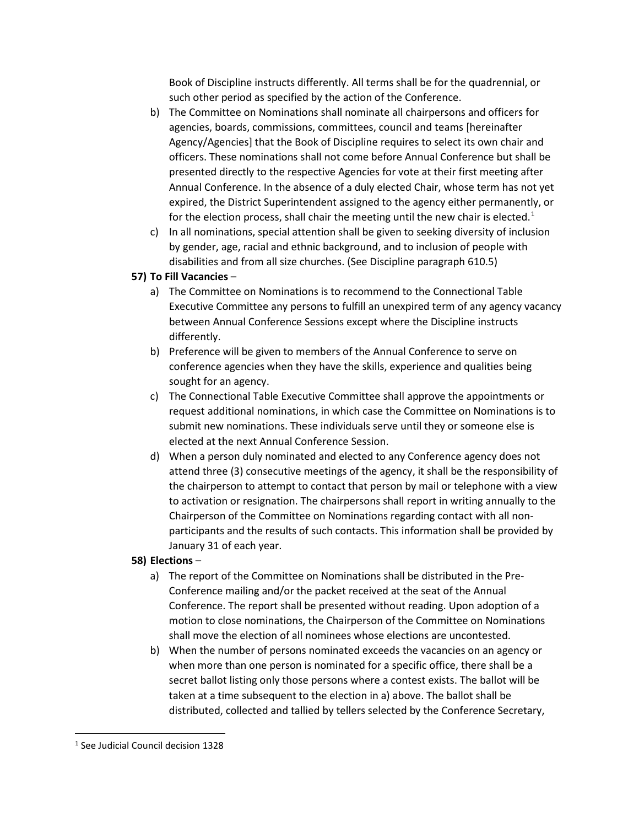Book of Discipline instructs differently. All terms shall be for the quadrennial, or such other period as specified by the action of the Conference.

- b) The Committee on Nominations shall nominate all chairpersons and officers for agencies, boards, commissions, committees, council and teams [hereinafter Agency/Agencies] that the Book of Discipline requires to select its own chair and officers. These nominations shall not come before Annual Conference but shall be presented directly to the respective Agencies for vote at their first meeting after Annual Conference. In the absence of a duly elected Chair, whose term has not yet expired, the District Superintendent assigned to the agency either permanently, or for the election process, shall chair the meeting until the new chair is elected.<sup>[1](#page-13-0)</sup>
- c) In all nominations, special attention shall be given to seeking diversity of inclusion by gender, age, racial and ethnic background, and to inclusion of people with disabilities and from all size churches. (See Discipline paragraph 610.5)

# **57) To Fill Vacancies** –

- a) The Committee on Nominations is to recommend to the Connectional Table Executive Committee any persons to fulfill an unexpired term of any agency vacancy between Annual Conference Sessions except where the Discipline instructs differently.
- b) Preference will be given to members of the Annual Conference to serve on conference agencies when they have the skills, experience and qualities being sought for an agency.
- c) The Connectional Table Executive Committee shall approve the appointments or request additional nominations, in which case the Committee on Nominations is to submit new nominations. These individuals serve until they or someone else is elected at the next Annual Conference Session.
- d) When a person duly nominated and elected to any Conference agency does not attend three (3) consecutive meetings of the agency, it shall be the responsibility of the chairperson to attempt to contact that person by mail or telephone with a view to activation or resignation. The chairpersons shall report in writing annually to the Chairperson of the Committee on Nominations regarding contact with all nonparticipants and the results of such contacts. This information shall be provided by January 31 of each year.

# **58) Elections** –

- a) The report of the Committee on Nominations shall be distributed in the Pre-Conference mailing and/or the packet received at the seat of the Annual Conference. The report shall be presented without reading. Upon adoption of a motion to close nominations, the Chairperson of the Committee on Nominations shall move the election of all nominees whose elections are uncontested.
- b) When the number of persons nominated exceeds the vacancies on an agency or when more than one person is nominated for a specific office, there shall be a secret ballot listing only those persons where a contest exists. The ballot will be taken at a time subsequent to the election in a) above. The ballot shall be distributed, collected and tallied by tellers selected by the Conference Secretary,

<span id="page-13-0"></span><sup>1</sup> See Judicial Council decision 1328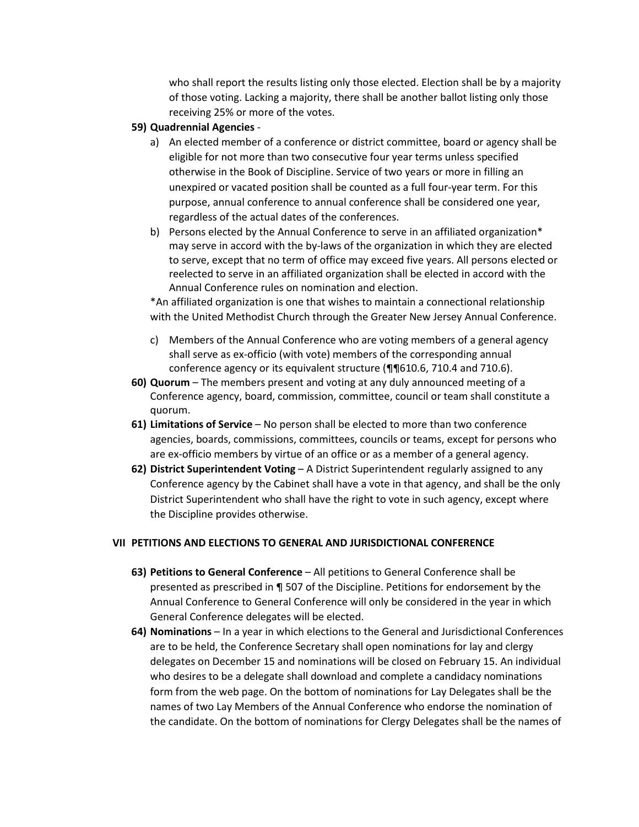who shall report the results listing only those elected. Election shall be by a majority of those voting. Lacking a majority, there shall be another ballot listing only those receiving 25% or more of the votes.

- **59) Quadrennial Agencies**
	- a) An elected member of a conference or district committee, board or agency shall be eligible for not more than two consecutive four year terms unless specified otherwise in the Book of Discipline. Service of two years or more in filling an unexpired or vacated position shall be counted as a full four-year term. For this purpose, annual conference to annual conference shall be considered one year, regardless of the actual dates of the conferences.
	- b) Persons elected by the Annual Conference to serve in an affiliated organization\* may serve in accord with the by-laws of the organization in which they are elected to serve, except that no term of office may exceed five years. All persons elected or reelected to serve in an affiliated organization shall be elected in accord with the Annual Conference rules on nomination and election.

\*An affiliated organization is one that wishes to maintain a connectional relationship with the United Methodist Church through the Greater New Jersey Annual Conference.

- c) Members of the Annual Conference who are voting members of a general agency shall serve as ex-officio (with vote) members of the corresponding annual conference agency or its equivalent structure (¶¶610.6, 710.4 and 710.6).
- **60) Quorum**  The members present and voting at any duly announced meeting of a Conference agency, board, commission, committee, council or team shall constitute a quorum.
- **61) Limitations of Service** No person shall be elected to more than two conference agencies, boards, commissions, committees, councils or teams, except for persons who are ex-officio members by virtue of an office or as a member of a general agency.
- **62) District Superintendent Voting** A District Superintendent regularly assigned to any Conference agency by the Cabinet shall have a vote in that agency, and shall be the only District Superintendent who shall have the right to vote in such agency, except where the Discipline provides otherwise.

#### **VII PETITIONS AND ELECTIONS TO GENERAL AND JURISDICTIONAL CONFERENCE**

- **63) Petitions to General Conference** All petitions to General Conference shall be presented as prescribed in ¶ 507 of the Discipline. Petitions for endorsement by the Annual Conference to General Conference will only be considered in the year in which General Conference delegates will be elected.
- **64) Nominations** In a year in which elections to the General and Jurisdictional Conferences are to be held, the Conference Secretary shall open nominations for lay and clergy delegates on December 15 and nominations will be closed on February 15. An individual who desires to be a delegate shall download and complete a candidacy nominations form from the web page. On the bottom of nominations for Lay Delegates shall be the names of two Lay Members of the Annual Conference who endorse the nomination of the candidate. On the bottom of nominations for Clergy Delegates shall be the names of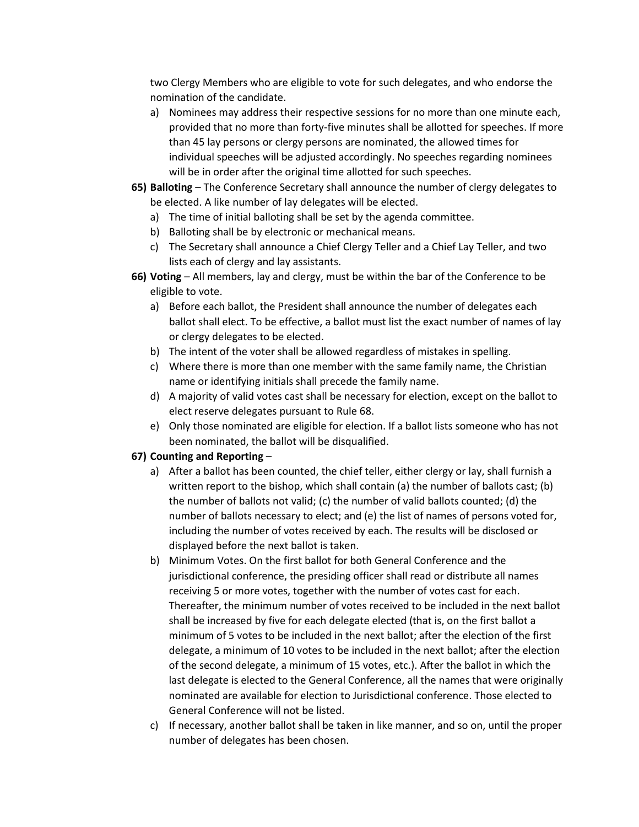two Clergy Members who are eligible to vote for such delegates, and who endorse the nomination of the candidate.

- a) Nominees may address their respective sessions for no more than one minute each, provided that no more than forty-five minutes shall be allotted for speeches. If more than 45 lay persons or clergy persons are nominated, the allowed times for individual speeches will be adjusted accordingly. No speeches regarding nominees will be in order after the original time allotted for such speeches.
- **65) Balloting**  The Conference Secretary shall announce the number of clergy delegates to be elected. A like number of lay delegates will be elected.
	- a) The time of initial balloting shall be set by the agenda committee.
	- b) Balloting shall be by electronic or mechanical means.
	- c) The Secretary shall announce a Chief Clergy Teller and a Chief Lay Teller, and two lists each of clergy and lay assistants.
- **66) Voting** All members, lay and clergy, must be within the bar of the Conference to be eligible to vote.
	- a) Before each ballot, the President shall announce the number of delegates each ballot shall elect. To be effective, a ballot must list the exact number of names of lay or clergy delegates to be elected.
	- b) The intent of the voter shall be allowed regardless of mistakes in spelling.
	- c) Where there is more than one member with the same family name, the Christian name or identifying initials shall precede the family name.
	- d) A majority of valid votes cast shall be necessary for election, except on the ballot to elect reserve delegates pursuant to Rule 68.
	- e) Only those nominated are eligible for election. If a ballot lists someone who has not been nominated, the ballot will be disqualified.

# **67) Counting and Reporting** –

- a) After a ballot has been counted, the chief teller, either clergy or lay, shall furnish a written report to the bishop, which shall contain (a) the number of ballots cast; (b) the number of ballots not valid; (c) the number of valid ballots counted; (d) the number of ballots necessary to elect; and (e) the list of names of persons voted for, including the number of votes received by each. The results will be disclosed or displayed before the next ballot is taken.
- b) Minimum Votes. On the first ballot for both General Conference and the jurisdictional conference, the presiding officer shall read or distribute all names receiving 5 or more votes, together with the number of votes cast for each. Thereafter, the minimum number of votes received to be included in the next ballot shall be increased by five for each delegate elected (that is, on the first ballot a minimum of 5 votes to be included in the next ballot; after the election of the first delegate, a minimum of 10 votes to be included in the next ballot; after the election of the second delegate, a minimum of 15 votes, etc.). After the ballot in which the last delegate is elected to the General Conference, all the names that were originally nominated are available for election to Jurisdictional conference. Those elected to General Conference will not be listed.
- c) If necessary, another ballot shall be taken in like manner, and so on, until the proper number of delegates has been chosen.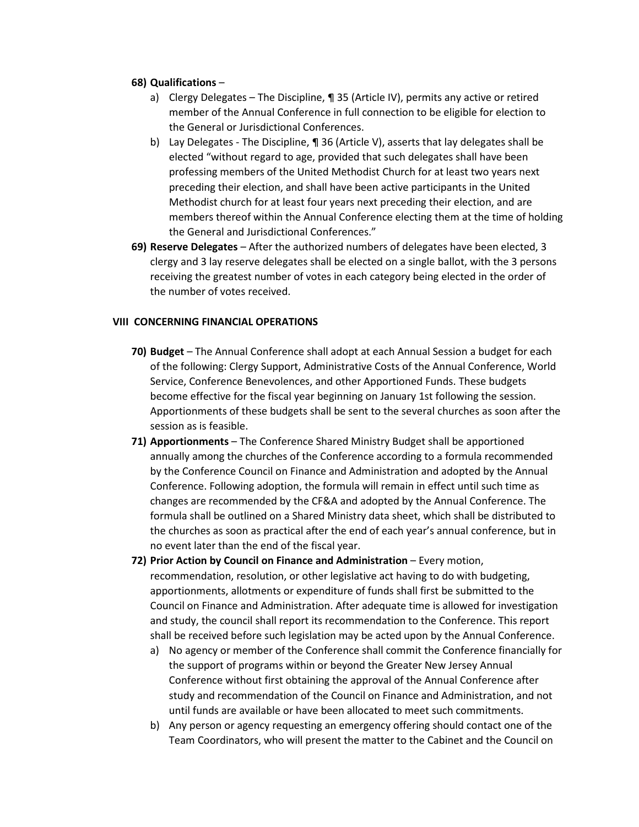### **68) Qualifications** –

- a) Clergy Delegates The Discipline, ¶ 35 (Article IV), permits any active or retired member of the Annual Conference in full connection to be eligible for election to the General or Jurisdictional Conferences.
- b) Lay Delegates The Discipline, ¶ 36 (Article V), asserts that lay delegates shall be elected "without regard to age, provided that such delegates shall have been professing members of the United Methodist Church for at least two years next preceding their election, and shall have been active participants in the United Methodist church for at least four years next preceding their election, and are members thereof within the Annual Conference electing them at the time of holding the General and Jurisdictional Conferences."
- **69) Reserve Delegates** After the authorized numbers of delegates have been elected, 3 clergy and 3 lay reserve delegates shall be elected on a single ballot, with the 3 persons receiving the greatest number of votes in each category being elected in the order of the number of votes received.

### **VIII CONCERNING FINANCIAL OPERATIONS**

- **70) Budget** The Annual Conference shall adopt at each Annual Session a budget for each of the following: Clergy Support, Administrative Costs of the Annual Conference, World Service, Conference Benevolences, and other Apportioned Funds. These budgets become effective for the fiscal year beginning on January 1st following the session. Apportionments of these budgets shall be sent to the several churches as soon after the session as is feasible.
- **71) Apportionments** The Conference Shared Ministry Budget shall be apportioned annually among the churches of the Conference according to a formula recommended by the Conference Council on Finance and Administration and adopted by the Annual Conference. Following adoption, the formula will remain in effect until such time as changes are recommended by the CF&A and adopted by the Annual Conference. The formula shall be outlined on a Shared Ministry data sheet, which shall be distributed to the churches as soon as practical after the end of each year's annual conference, but in no event later than the end of the fiscal year.
- **72) Prior Action by Council on Finance and Administration** Every motion, recommendation, resolution, or other legislative act having to do with budgeting, apportionments, allotments or expenditure of funds shall first be submitted to the Council on Finance and Administration. After adequate time is allowed for investigation and study, the council shall report its recommendation to the Conference. This report shall be received before such legislation may be acted upon by the Annual Conference.
	- a) No agency or member of the Conference shall commit the Conference financially for the support of programs within or beyond the Greater New Jersey Annual Conference without first obtaining the approval of the Annual Conference after study and recommendation of the Council on Finance and Administration, and not until funds are available or have been allocated to meet such commitments.
	- b) Any person or agency requesting an emergency offering should contact one of the Team Coordinators, who will present the matter to the Cabinet and the Council on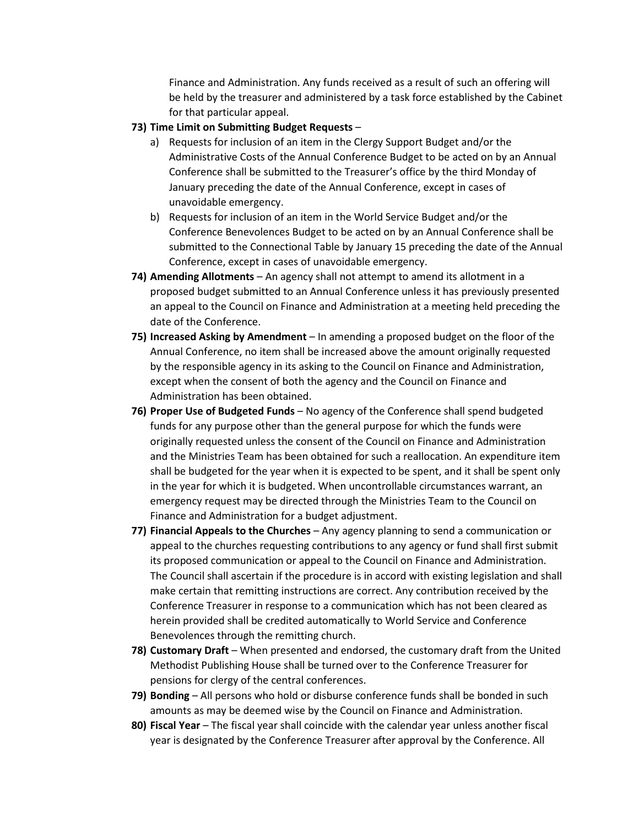Finance and Administration. Any funds received as a result of such an offering will be held by the treasurer and administered by a task force established by the Cabinet for that particular appeal.

### **73) Time Limit on Submitting Budget Requests** –

- a) Requests for inclusion of an item in the Clergy Support Budget and/or the Administrative Costs of the Annual Conference Budget to be acted on by an Annual Conference shall be submitted to the Treasurer's office by the third Monday of January preceding the date of the Annual Conference, except in cases of unavoidable emergency.
- b) Requests for inclusion of an item in the World Service Budget and/or the Conference Benevolences Budget to be acted on by an Annual Conference shall be submitted to the Connectional Table by January 15 preceding the date of the Annual Conference, except in cases of unavoidable emergency.
- **74) Amending Allotments** An agency shall not attempt to amend its allotment in a proposed budget submitted to an Annual Conference unless it has previously presented an appeal to the Council on Finance and Administration at a meeting held preceding the date of the Conference.
- **75) Increased Asking by Amendment** In amending a proposed budget on the floor of the Annual Conference, no item shall be increased above the amount originally requested by the responsible agency in its asking to the Council on Finance and Administration, except when the consent of both the agency and the Council on Finance and Administration has been obtained.
- **76) Proper Use of Budgeted Funds** No agency of the Conference shall spend budgeted funds for any purpose other than the general purpose for which the funds were originally requested unless the consent of the Council on Finance and Administration and the Ministries Team has been obtained for such a reallocation. An expenditure item shall be budgeted for the year when it is expected to be spent, and it shall be spent only in the year for which it is budgeted. When uncontrollable circumstances warrant, an emergency request may be directed through the Ministries Team to the Council on Finance and Administration for a budget adjustment.
- **77) Financial Appeals to the Churches** Any agency planning to send a communication or appeal to the churches requesting contributions to any agency or fund shall first submit its proposed communication or appeal to the Council on Finance and Administration. The Council shall ascertain if the procedure is in accord with existing legislation and shall make certain that remitting instructions are correct. Any contribution received by the Conference Treasurer in response to a communication which has not been cleared as herein provided shall be credited automatically to World Service and Conference Benevolences through the remitting church.
- **78) Customary Draft** When presented and endorsed, the customary draft from the United Methodist Publishing House shall be turned over to the Conference Treasurer for pensions for clergy of the central conferences.
- **79) Bonding** All persons who hold or disburse conference funds shall be bonded in such amounts as may be deemed wise by the Council on Finance and Administration.
- **80) Fiscal Year** The fiscal year shall coincide with the calendar year unless another fiscal year is designated by the Conference Treasurer after approval by the Conference. All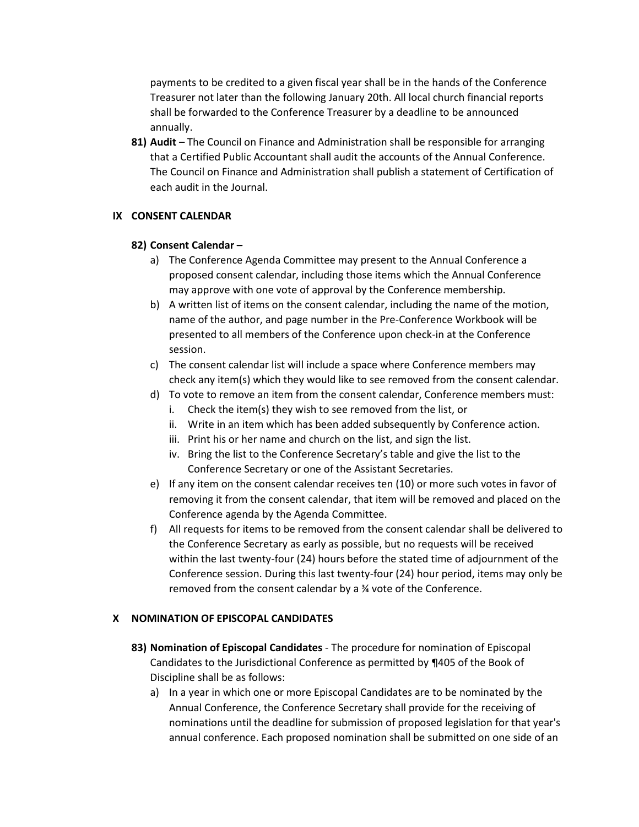payments to be credited to a given fiscal year shall be in the hands of the Conference Treasurer not later than the following January 20th. All local church financial reports shall be forwarded to the Conference Treasurer by a deadline to be announced annually.

**81) Audit** – The Council on Finance and Administration shall be responsible for arranging that a Certified Public Accountant shall audit the accounts of the Annual Conference. The Council on Finance and Administration shall publish a statement of Certification of each audit in the Journal.

#### **IX CONSENT CALENDAR**

#### **82) Consent Calendar –**

- a) The Conference Agenda Committee may present to the Annual Conference a proposed consent calendar, including those items which the Annual Conference may approve with one vote of approval by the Conference membership.
- b) A written list of items on the consent calendar, including the name of the motion, name of the author, and page number in the Pre-Conference Workbook will be presented to all members of the Conference upon check-in at the Conference session.
- c) The consent calendar list will include a space where Conference members may check any item(s) which they would like to see removed from the consent calendar.
- d) To vote to remove an item from the consent calendar, Conference members must:
	- i. Check the item(s) they wish to see removed from the list, or
	- ii. Write in an item which has been added subsequently by Conference action.
	- iii. Print his or her name and church on the list, and sign the list.
	- iv. Bring the list to the Conference Secretary's table and give the list to the Conference Secretary or one of the Assistant Secretaries.
- e) If any item on the consent calendar receives ten (10) or more such votes in favor of removing it from the consent calendar, that item will be removed and placed on the Conference agenda by the Agenda Committee.
- f) All requests for items to be removed from the consent calendar shall be delivered to the Conference Secretary as early as possible, but no requests will be received within the last twenty-four (24) hours before the stated time of adjournment of the Conference session. During this last twenty-four (24) hour period, items may only be removed from the consent calendar by a ¾ vote of the Conference.

### **X NOMINATION OF EPISCOPAL CANDIDATES**

- **83) Nomination of Episcopal Candidates** The procedure for nomination of Episcopal Candidates to the Jurisdictional Conference as permitted by ¶405 of the Book of Discipline shall be as follows:
	- a) In a year in which one or more Episcopal Candidates are to be nominated by the Annual Conference, the Conference Secretary shall provide for the receiving of nominations until the deadline for submission of proposed legislation for that year's annual conference. Each proposed nomination shall be submitted on one side of an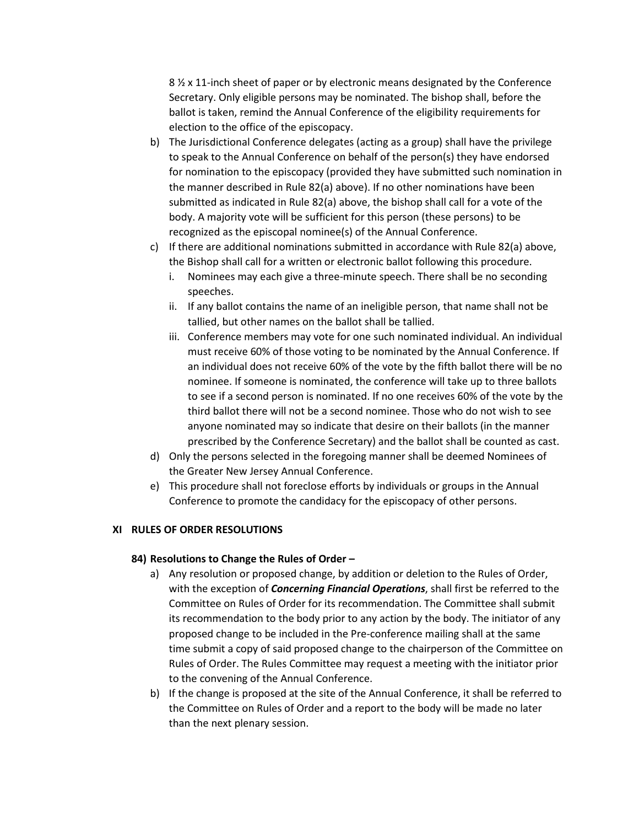8 <sup> $\frac{1}{2}$ </sup> x 11-inch sheet of paper or by electronic means designated by the Conference Secretary. Only eligible persons may be nominated. The bishop shall, before the ballot is taken, remind the Annual Conference of the eligibility requirements for election to the office of the episcopacy.

- b) The Jurisdictional Conference delegates (acting as a group) shall have the privilege to speak to the Annual Conference on behalf of the person(s) they have endorsed for nomination to the episcopacy (provided they have submitted such nomination in the manner described in Rule 82(a) above). If no other nominations have been submitted as indicated in Rule 82(a) above, the bishop shall call for a vote of the body. A majority vote will be sufficient for this person (these persons) to be recognized as the episcopal nominee(s) of the Annual Conference.
- c) If there are additional nominations submitted in accordance with Rule 82(a) above, the Bishop shall call for a written or electronic ballot following this procedure.
	- i. Nominees may each give a three-minute speech. There shall be no seconding speeches.
	- ii. If any ballot contains the name of an ineligible person, that name shall not be tallied, but other names on the ballot shall be tallied.
	- iii. Conference members may vote for one such nominated individual. An individual must receive 60% of those voting to be nominated by the Annual Conference. If an individual does not receive 60% of the vote by the fifth ballot there will be no nominee. If someone is nominated, the conference will take up to three ballots to see if a second person is nominated. If no one receives 60% of the vote by the third ballot there will not be a second nominee. Those who do not wish to see anyone nominated may so indicate that desire on their ballots (in the manner prescribed by the Conference Secretary) and the ballot shall be counted as cast.
- d) Only the persons selected in the foregoing manner shall be deemed Nominees of the Greater New Jersey Annual Conference.
- e) This procedure shall not foreclose efforts by individuals or groups in the Annual Conference to promote the candidacy for the episcopacy of other persons.

#### **XI RULES OF ORDER RESOLUTIONS**

#### **84) Resolutions to Change the Rules of Order –**

- a) Any resolution or proposed change, by addition or deletion to the Rules of Order, with the exception of *Concerning Financial Operations*, shall first be referred to the Committee on Rules of Order for its recommendation. The Committee shall submit its recommendation to the body prior to any action by the body. The initiator of any proposed change to be included in the Pre-conference mailing shall at the same time submit a copy of said proposed change to the chairperson of the Committee on Rules of Order. The Rules Committee may request a meeting with the initiator prior to the convening of the Annual Conference.
- b) If the change is proposed at the site of the Annual Conference, it shall be referred to the Committee on Rules of Order and a report to the body will be made no later than the next plenary session.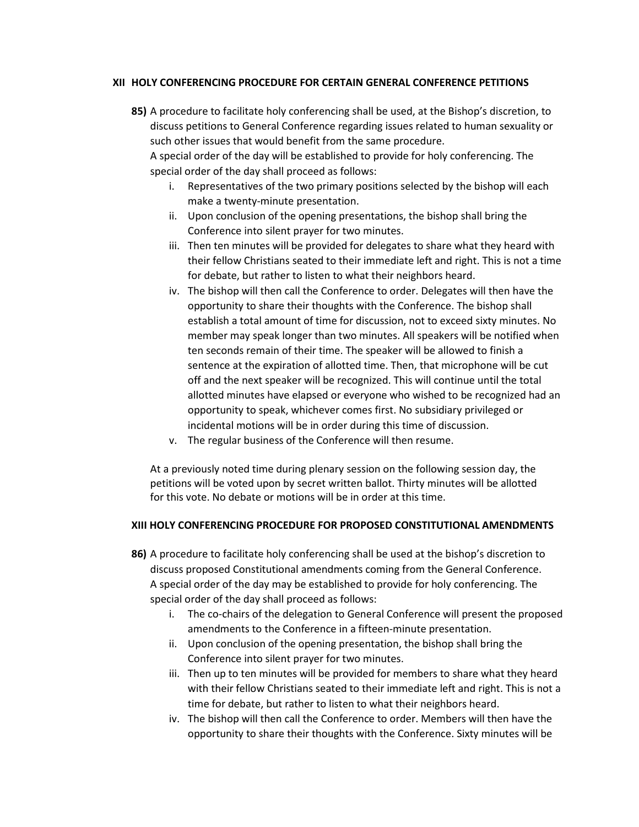### **XII HOLY CONFERENCING PROCEDURE FOR CERTAIN GENERAL CONFERENCE PETITIONS**

**85)** A procedure to facilitate holy conferencing shall be used, at the Bishop's discretion, to discuss petitions to General Conference regarding issues related to human sexuality or such other issues that would benefit from the same procedure.

A special order of the day will be established to provide for holy conferencing. The special order of the day shall proceed as follows:

- i. Representatives of the two primary positions selected by the bishop will each make a twenty-minute presentation.
- ii. Upon conclusion of the opening presentations, the bishop shall bring the Conference into silent prayer for two minutes.
- iii. Then ten minutes will be provided for delegates to share what they heard with their fellow Christians seated to their immediate left and right. This is not a time for debate, but rather to listen to what their neighbors heard.
- iv. The bishop will then call the Conference to order. Delegates will then have the opportunity to share their thoughts with the Conference. The bishop shall establish a total amount of time for discussion, not to exceed sixty minutes. No member may speak longer than two minutes. All speakers will be notified when ten seconds remain of their time. The speaker will be allowed to finish a sentence at the expiration of allotted time. Then, that microphone will be cut off and the next speaker will be recognized. This will continue until the total allotted minutes have elapsed or everyone who wished to be recognized had an opportunity to speak, whichever comes first. No subsidiary privileged or incidental motions will be in order during this time of discussion.
- v. The regular business of the Conference will then resume.

At a previously noted time during plenary session on the following session day, the petitions will be voted upon by secret written ballot. Thirty minutes will be allotted for this vote. No debate or motions will be in order at this time.

#### **XIII HOLY CONFERENCING PROCEDURE FOR PROPOSED CONSTITUTIONAL AMENDMENTS**

- **86)** A procedure to facilitate holy conferencing shall be used at the bishop's discretion to discuss proposed Constitutional amendments coming from the General Conference. A special order of the day may be established to provide for holy conferencing. The special order of the day shall proceed as follows:
	- i. The co-chairs of the delegation to General Conference will present the proposed amendments to the Conference in a fifteen-minute presentation.
	- ii. Upon conclusion of the opening presentation, the bishop shall bring the Conference into silent prayer for two minutes.
	- iii. Then up to ten minutes will be provided for members to share what they heard with their fellow Christians seated to their immediate left and right. This is not a time for debate, but rather to listen to what their neighbors heard.
	- iv. The bishop will then call the Conference to order. Members will then have the opportunity to share their thoughts with the Conference. Sixty minutes will be